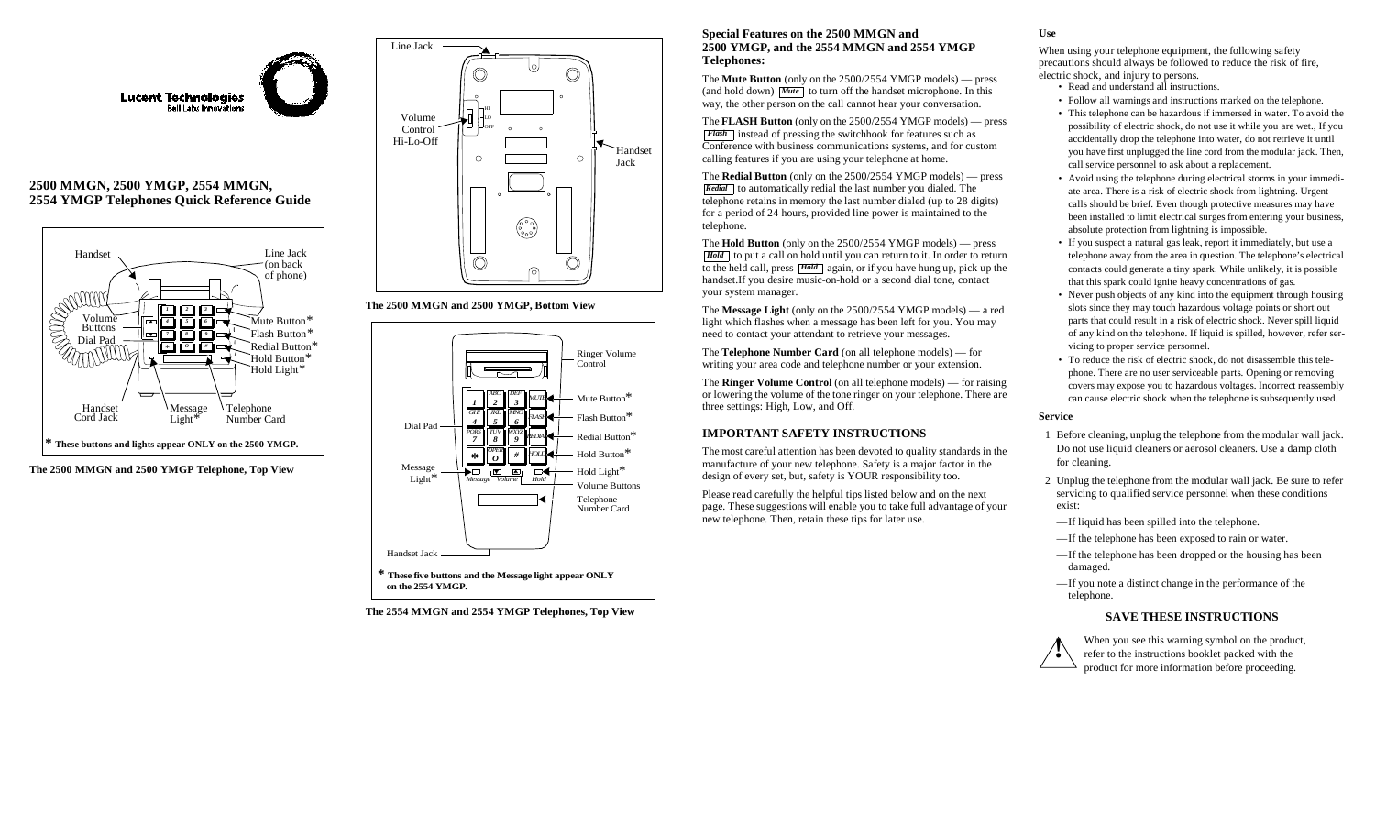

## **2500 MMGN, 2500 YMGP, 2554 MMGN, 2554 YMGP Telephones Quick Reference Guide**



#### **The 2500 MMGN and 2500 YMGP Telephone, Top View**



#### **The 2500 MMGN and 2500 YMGP, Bottom View**



**The 2554 MMGN and 2554 YMGP Telephones, Top View**

#### **Special Features on the 2500 MMGN and 2500 YMGP, and the 2554 MMGN and 2554 YMGP Telephones:**

The **Mute Button** (only on the 2500/2554 YMGP models) — press (and hold down) **Mute** to turn off the handset microphone. In this way, the other person on the call cannot hear your conversation.

The **FLASH Button** (only on the 2500/2554 YMGP models) — press instead of pressing the switchhook for features such as *Flash* Conference with business communications systems, and for custom calling features if you are using your telephone at home.

The **Redial Button** (only on the 2500/2554 YMGP models) — press Redial to automatically redial the last number you dialed. The telephone retains in memory the last number dialed (up to 28 digits) for a period of 24 hours, provided line power is maintained to the telephone.

The **Hold Button** (only on the 2500/2554 YMGP models) — press Hold to put a call on hold until you can return to it. In order to return to the held call, press **Hold** again, or if you have hung up, pick up the handset.If you desire music-on-hold or a second dial tone, contact your system manager.

The **Message Light** (only on the 2500/2554 YMGP models) — a red light which flashes when a message has been left for you. You may need to contact your attendant to retrieve your messages.

The **Telephone Number Card** (on all telephone models) — for writing your area code and telephone number or your extension.

The **Ringer Volume Control** (on all telephone models) — for raising or lowering the volume of the tone ringer on your telephone. There are three settings: High, Low, and Off.

## **IMPORTANT SAFETY INSTRUCTIONS**

The most careful attention has been devoted to quality standards in the manufacture of your new telephone. Safety is a major factor in the design of every set, but, safety is YOUR responsibility too.

Please read carefully the helpful tips listed below and on the next page. These suggestions will enable you to take full advantage of your new telephone. Then, retain these tips for later use.

# **Use**

When using your telephone equipment, the following safety precautions should always be followed to reduce the risk of fire, electric shock, and injury to persons.

- Read and understand all instructions.
- Follow all warnings and instructions marked on the telephone.
- This telephone can be hazardous if immersed in water. To avoid the possibility of electric shock, do not use it while you are wet., If you accidentally drop the telephone into water, do not retrieve it until you have first unplugged the line cord from the modular jack. Then, call service personnel to ask about a replacement.
- Avoid using the telephone during electrical storms in your immediate area. There is a risk of electric shock from lightning. Urgent calls should be brief. Even though protective measures may have been installed to limit electrical surges from entering your business, absolute protection from lightning is impossible.
- If you suspect a natural gas leak, report it immediately, but use a telephone away from the area in question. The telephone's electrical contacts could generate a tiny spark. While unlikely, it is possible that this spark could ignite heavy concentrations of gas.
- Never push objects of any kind into the equipment through housing slots since they may touch hazardous voltage points or short out parts that could result in a risk of electric shock. Never spill liquid of any kind on the telephone. If liquid is spilled, however, refer servicing to proper service personnel.
- To reduce the risk of electric shock, do not disassemble this telephone. There are no user serviceable parts. Opening or removing covers may expose you to hazardous voltages. Incorrect reassembly can cause electric shock when the telephone is subsequently used.

#### **Service**

- 1 Before cleaning, unplug the telephone from the modular wall jack. Do not use liquid cleaners or aerosol cleaners. Use a damp cloth for cleaning.
- 2 Unplug the telephone from the modular wall jack. Be sure to refer servicing to qualified service personnel when these conditions exist:
- If liquid has been spilled into the telephone.
- If the telephone has been exposed to rain or water.
- If the telephone has been dropped or the housing has been damaged.
- If you note a distinct change in the performance of the telephone.

### **SAVE THESE INSTRUCTIONS**



When you see this warning symbol on the product, refer to the instructions booklet packed with the product for more information before proceeding.